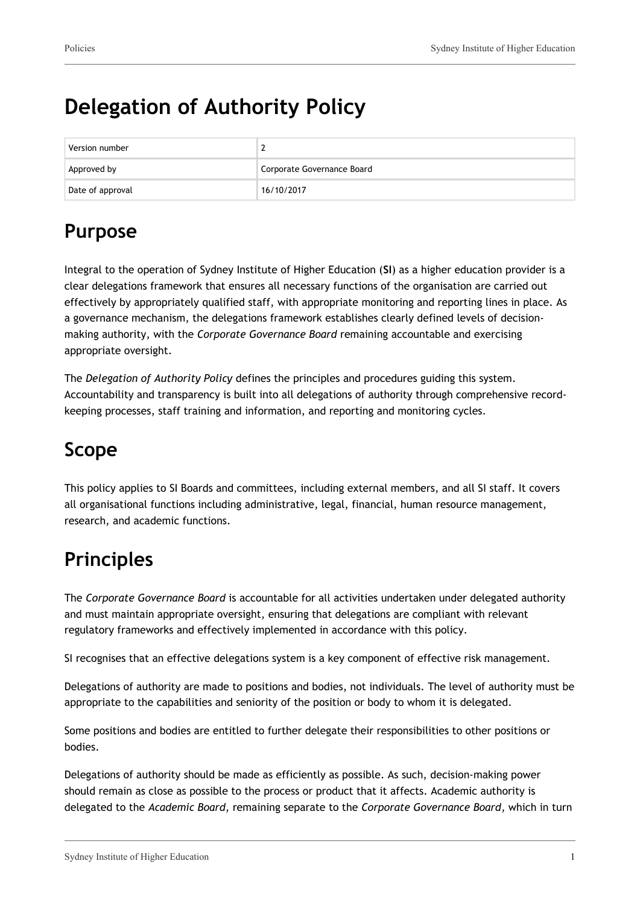# **Delegation of Authority Policy**

| Version number   |                            |
|------------------|----------------------------|
| Approved by      | Corporate Governance Board |
| Date of approval | 16/10/2017                 |

## **Purpose**

Integral to the operation of Sydney Institute of Higher Education (**SI**) as a higher education provider is a clear delegations framework that ensures all necessary functions of the organisation are carried out effectively by appropriately qualified staff, with appropriate monitoring and reporting lines in place. As a governance mechanism, the delegations framework establishes clearly defined levels of decisionmaking authority, with the *Corporate Governance Board* remaining accountable and exercising appropriate oversight.

The *Delegation of Authority Policy* defines the principles and procedures guiding this system. Accountability and transparency is built into all delegations of authority through comprehensive recordkeeping processes, staff training and information, and reporting and monitoring cycles.

## **Scope**

This policy applies to SI Boards and committees, including external members, and all SI staff. It covers all organisational functions including administrative, legal, financial, human resource management, research, and academic functions.

## **Principles**

The *Corporate Governance Board* is accountable for all activities undertaken under delegated authority and must maintain appropriate oversight, ensuring that delegations are compliant with relevant regulatory frameworks and effectively implemented in accordance with this policy.

SI recognises that an effective delegations system is a key component of effective risk management.

Delegations of authority are made to positions and bodies, not individuals. The level of authority must be appropriate to the capabilities and seniority of the position or body to whom it is delegated.

Some positions and bodies are entitled to further delegate their responsibilities to other positions or bodies.

Delegations of authority should be made as efficiently as possible. As such, decision-making power should remain as close as possible to the process or product that it affects. Academic authority is delegated to the *Academic Board*, remaining separate to the *Corporate Governance Board*, which in turn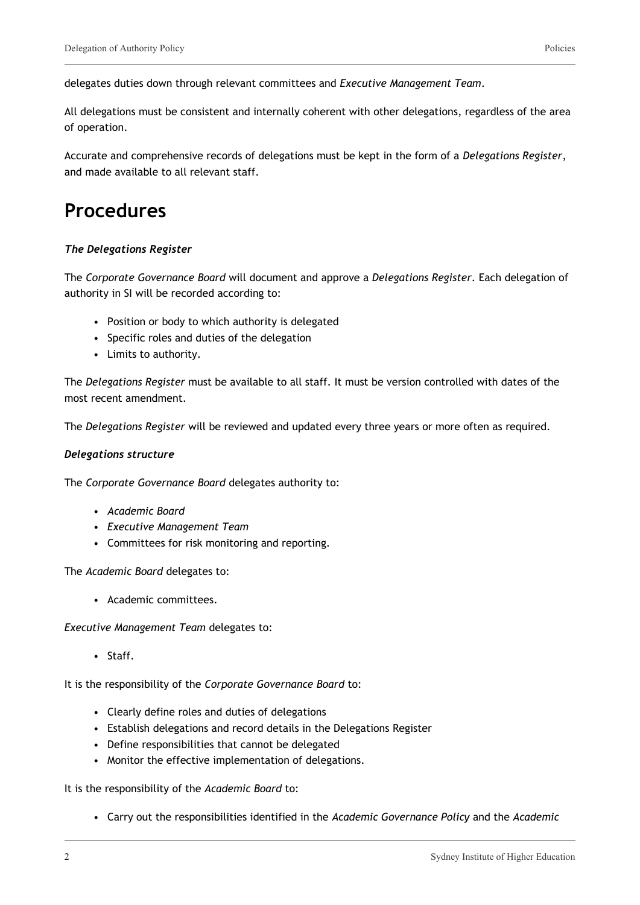delegates duties down through relevant committees and *Executive Management Team*.

All delegations must be consistent and internally coherent with other delegations, regardless of the area of operation.

Accurate and comprehensive records of delegations must be kept in the form of a *Delegations Register*, and made available to all relevant staff.

### **Procedures**

#### *The Delegations Register*

The *Corporate Governance Board* will document and approve a *Delegations Register*. Each delegation of authority in SI will be recorded according to:

- Position or body to which authority is delegated
- Specific roles and duties of the delegation
- Limits to authority.

The *Delegations Register* must be available to all staff. It must be version controlled with dates of the most recent amendment.

The *Delegations Register* will be reviewed and updated every three years or more often as required.

#### *Delegations structure*

The *Corporate Governance Board* delegates authority to:

- *Academic Board*
- *Executive Management Team*
- Committees for risk monitoring and reporting.

The *Academic Board* delegates to:

• Academic committees.

*Executive Management Team* delegates to:

• Staff.

It is the responsibility of the *Corporate Governance Board* to:

- Clearly define roles and duties of delegations
- Establish delegations and record details in the Delegations Register
- Define responsibilities that cannot be delegated
- Monitor the effective implementation of delegations.

It is the responsibility of the *Academic Board* to:

• Carry out the responsibilities identified in the *Academic Governance Policy* and the *Academic*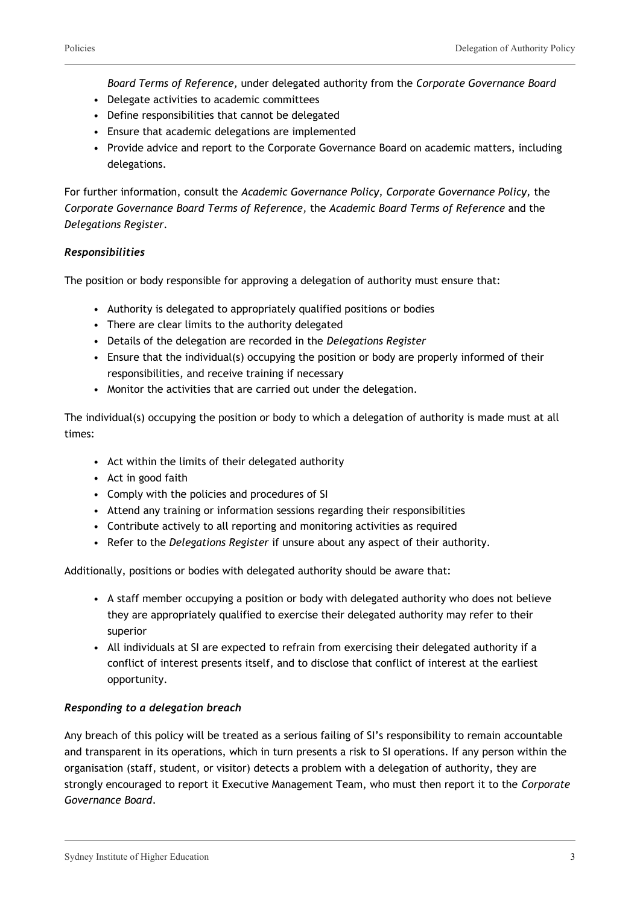*Board Terms of Reference,* under delegated authority from the *Corporate Governance Board*

- Delegate activities to academic committees
- Define responsibilities that cannot be delegated
- Ensure that academic delegations are implemented
- Provide advice and report to the Corporate Governance Board on academic matters, including delegations.

For further information, consult the *Academic Governance Policy, Corporate Governance Policy,* the *Corporate Governance Board Terms of Reference,* the *Academic Board Terms of Reference* and the *Delegations Register.*

#### *Responsibilities*

The position or body responsible for approving a delegation of authority must ensure that:

- Authority is delegated to appropriately qualified positions or bodies
- There are clear limits to the authority delegated
- Details of the delegation are recorded in the *Delegations Register*
- Ensure that the individual(s) occupying the position or body are properly informed of their responsibilities, and receive training if necessary
- Monitor the activities that are carried out under the delegation.

The individual(s) occupying the position or body to which a delegation of authority is made must at all times:

- Act within the limits of their delegated authority
- Act in good faith
- Comply with the policies and procedures of SI
- Attend any training or information sessions regarding their responsibilities
- Contribute actively to all reporting and monitoring activities as required
- Refer to the *Delegations Register* if unsure about any aspect of their authority.

Additionally, positions or bodies with delegated authority should be aware that:

- A staff member occupying a position or body with delegated authority who does not believe they are appropriately qualified to exercise their delegated authority may refer to their superior
- All individuals at SI are expected to refrain from exercising their delegated authority if a conflict of interest presents itself, and to disclose that conflict of interest at the earliest opportunity.

#### *Responding to a delegation breach*

Any breach of this policy will be treated as a serious failing of SI's responsibility to remain accountable and transparent in its operations, which in turn presents a risk to SI operations. If any person within the organisation (staff, student, or visitor) detects a problem with a delegation of authority, they are strongly encouraged to report it Executive Management Team, who must then report it to the *Corporate Governance Board*.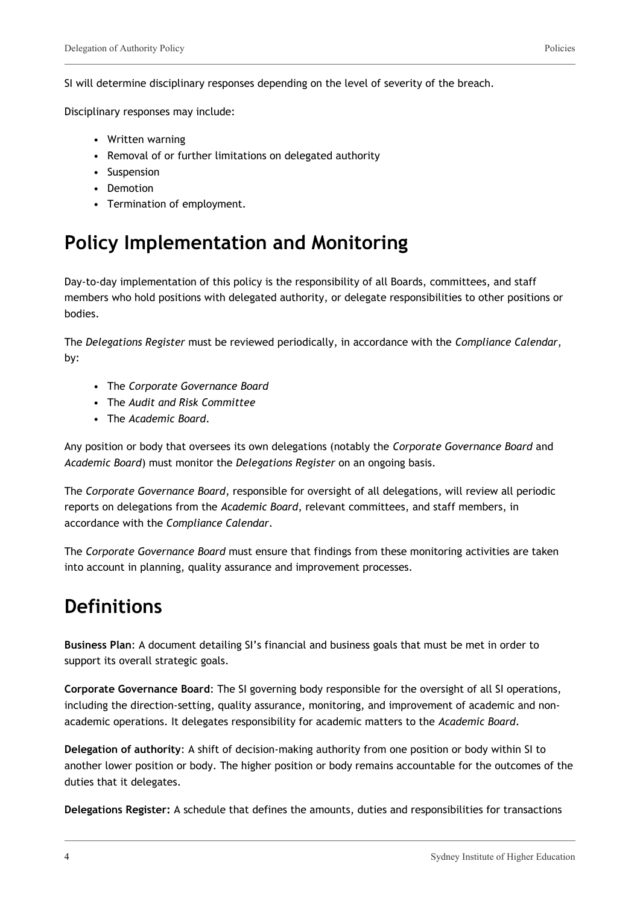SI will determine disciplinary responses depending on the level of severity of the breach.

Disciplinary responses may include:

- Written warning
- Removal of or further limitations on delegated authority
- Suspension
- Demotion
- Termination of employment.

### **Policy Implementation and Monitoring**

Day-to-day implementation of this policy is the responsibility of all Boards, committees, and staff members who hold positions with delegated authority, or delegate responsibilities to other positions or bodies.

The *Delegations Register* must be reviewed periodically, in accordance with the *Compliance Calendar*, by:

- The *Corporate Governance Board*
- The *Audit and Risk Committee*
- The *Academic Board*.

Any position or body that oversees its own delegations (notably the *Corporate Governance Board* and *Academic Board*) must monitor the *Delegations Register* on an ongoing basis.

The *Corporate Governance Board*, responsible for oversight of all delegations, will review all periodic reports on delegations from the *Academic Board*, relevant committees, and staff members, in accordance with the *Compliance Calendar*.

The *Corporate Governance Board* must ensure that findings from these monitoring activities are taken into account in planning, quality assurance and improvement processes.

### **Definitions**

**Business Plan**: A document detailing SI's financial and business goals that must be met in order to support its overall strategic goals.

**Corporate Governance Board**: The SI governing body responsible for the oversight of all SI operations, including the direction-setting, quality assurance, monitoring, and improvement of academic and nonacademic operations. It delegates responsibility for academic matters to the *Academic Board*.

**Delegation of authority**: A shift of decision-making authority from one position or body within SI to another lower position or body. The higher position or body remains accountable for the outcomes of the duties that it delegates.

**Delegations Register:** A schedule that defines the amounts, duties and responsibilities for transactions